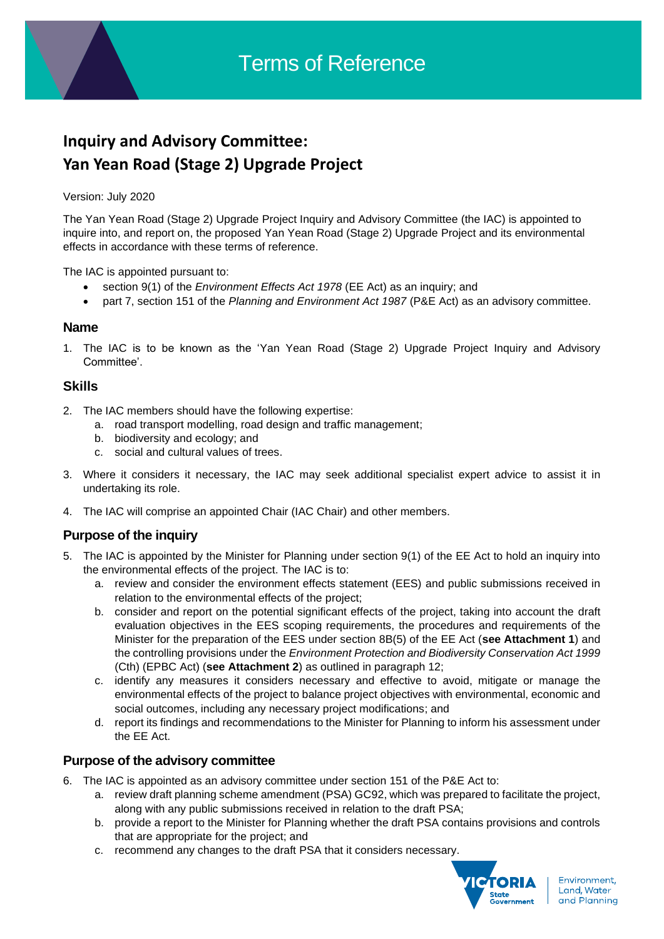# **Inquiry and Advisory Committee: Yan Yean Road (Stage 2) Upgrade Project**

#### Version: July 2020

The Yan Yean Road (Stage 2) Upgrade Project Inquiry and Advisory Committee (the IAC) is appointed to inquire into, and report on, the proposed Yan Yean Road (Stage 2) Upgrade Project and its environmental effects in accordance with these terms of reference.

The IAC is appointed pursuant to:

- section 9(1) of the *Environment Effects Act 1978* (EE Act) as an inquiry; and
- part 7, section 151 of the *Planning and Environment Act 1987* (P&E Act) as an advisory committee.

## **Name**

1. The IAC is to be known as the 'Yan Yean Road (Stage 2) Upgrade Project Inquiry and Advisory Committee'.

## **Skills**

- 2. The IAC members should have the following expertise:
	- a. road transport modelling, road design and traffic management;
	- b. biodiversity and ecology; and
	- c. social and cultural values of trees.
- 3. Where it considers it necessary, the IAC may seek additional specialist expert advice to assist it in undertaking its role.
- 4. The IAC will comprise an appointed Chair (IAC Chair) and other members.

# **Purpose of the inquiry**

- 5. The IAC is appointed by the Minister for Planning under section 9(1) of the EE Act to hold an inquiry into the environmental effects of the project. The IAC is to:
	- a. review and consider the environment effects statement (EES) and public submissions received in relation to the environmental effects of the project;
	- b. consider and report on the potential significant effects of the project, taking into account the draft evaluation objectives in the EES scoping requirements, the procedures and requirements of the Minister for the preparation of the EES under section 8B(5) of the EE Act (**see Attachment 1**) and the controlling provisions under the *Environment Protection and Biodiversity Conservation Act 1999* (Cth) (EPBC Act) (**see Attachment 2**) as outlined in paragraph 12;
	- c. identify any measures it considers necessary and effective to avoid, mitigate or manage the environmental effects of the project to balance project objectives with environmental, economic and social outcomes, including any necessary project modifications; and
	- d. report its findings and recommendations to the Minister for Planning to inform his assessment under the EE Act.

## **Purpose of the advisory committee**

- 6. The IAC is appointed as an advisory committee under section 151 of the P&E Act to:
	- a. review draft planning scheme amendment (PSA) GC92, which was prepared to facilitate the project, along with any public submissions received in relation to the draft PSA;
	- b. provide a report to the Minister for Planning whether the draft PSA contains provisions and controls that are appropriate for the project; and
	- c. recommend any changes to the draft PSA that it considers necessary.

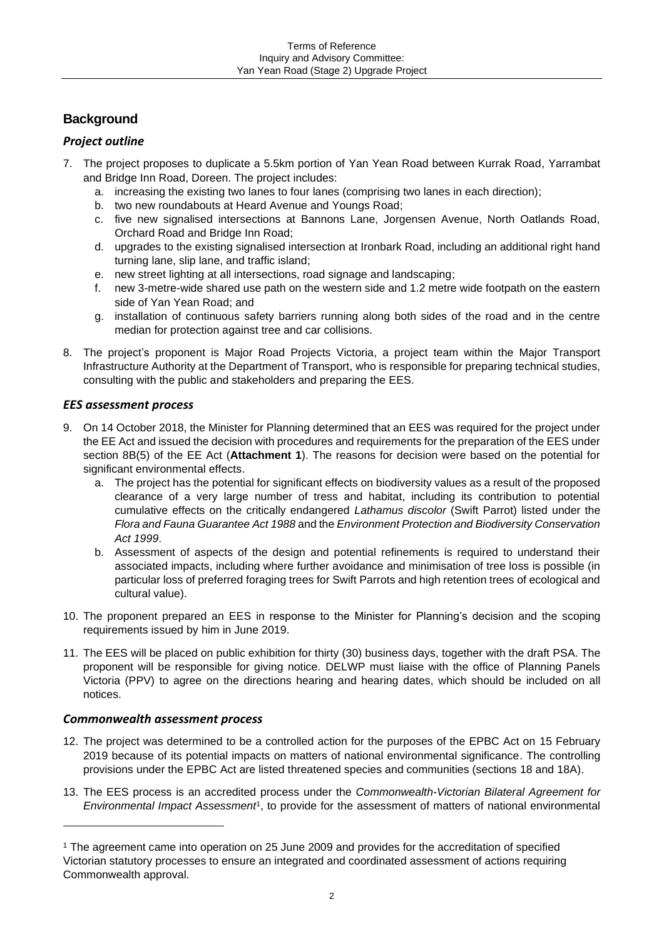# **Background**

## *Project outline*

- 7. The project proposes to duplicate a 5.5km portion of Yan Yean Road between Kurrak Road, Yarrambat and Bridge Inn Road, Doreen. The project includes:
	- a. increasing the existing two lanes to four lanes (comprising two lanes in each direction);
	- b. two new roundabouts at Heard Avenue and Youngs Road;
	- c. five new signalised intersections at Bannons Lane, Jorgensen Avenue, North Oatlands Road, Orchard Road and Bridge Inn Road;
	- d. upgrades to the existing signalised intersection at Ironbark Road, including an additional right hand turning lane, slip lane, and traffic island;
	- e. new street lighting at all intersections, road signage and landscaping;
	- f. new 3-metre-wide shared use path on the western side and 1.2 metre wide footpath on the eastern side of Yan Yean Road; and
	- g. installation of continuous safety barriers running along both sides of the road and in the centre median for protection against tree and car collisions.
- 8. The project's proponent is Major Road Projects Victoria, a project team within the Major Transport Infrastructure Authority at the Department of Transport, who is responsible for preparing technical studies, consulting with the public and stakeholders and preparing the EES.

## *EES assessment process*

- 9. On 14 October 2018, the Minister for Planning determined that an EES was required for the project under the EE Act and issued the decision with procedures and requirements for the preparation of the EES under section 8B(5) of the EE Act (**Attachment 1**). The reasons for decision were based on the potential for significant environmental effects.
	- a. The project has the potential for significant effects on biodiversity values as a result of the proposed clearance of a very large number of tress and habitat, including its contribution to potential cumulative effects on the critically endangered *Lathamus discolor* (Swift Parrot) listed under the *Flora and Fauna Guarantee Act 1988* and the *Environment Protection and Biodiversity Conservation Act 1999*.
	- b. Assessment of aspects of the design and potential refinements is required to understand their associated impacts, including where further avoidance and minimisation of tree loss is possible (in particular loss of preferred foraging trees for Swift Parrots and high retention trees of ecological and cultural value).
- 10. The proponent prepared an EES in response to the Minister for Planning's decision and the scoping requirements issued by him in June 2019.
- 11. The EES will be placed on public exhibition for thirty (30) business days, together with the draft PSA. The proponent will be responsible for giving notice. DELWP must liaise with the office of Planning Panels Victoria (PPV) to agree on the directions hearing and hearing dates, which should be included on all notices.

## *Commonwealth assessment process*

- 12. The project was determined to be a controlled action for the purposes of the EPBC Act on 15 February 2019 because of its potential impacts on matters of national environmental significance. The controlling provisions under the EPBC Act are listed threatened species and communities (sections 18 and 18A).
- 13. The EES process is an accredited process under the *Commonwealth-Victorian Bilateral Agreement for Environmental Impact Assessment<sup>1</sup>*, to provide for the assessment of matters of national environmental

<sup>1</sup> The agreement came into operation on 25 June 2009 and provides for the accreditation of specified Victorian statutory processes to ensure an integrated and coordinated assessment of actions requiring Commonwealth approval.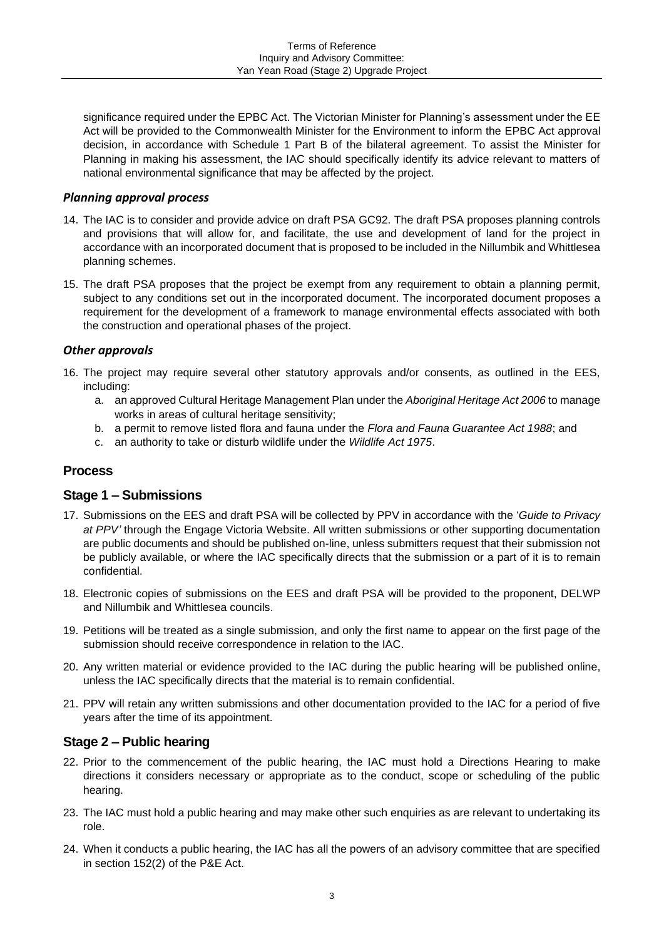significance required under the EPBC Act. The Victorian Minister for Planning's assessment under the EE Act will be provided to the Commonwealth Minister for the Environment to inform the EPBC Act approval decision, in accordance with Schedule 1 Part B of the bilateral agreement. To assist the Minister for Planning in making his assessment, the IAC should specifically identify its advice relevant to matters of national environmental significance that may be affected by the project.

## *Planning approval process*

- 14. The IAC is to consider and provide advice on draft PSA GC92. The draft PSA proposes planning controls and provisions that will allow for, and facilitate, the use and development of land for the project in accordance with an incorporated document that is proposed to be included in the Nillumbik and Whittlesea planning schemes.
- 15. The draft PSA proposes that the project be exempt from any requirement to obtain a planning permit, subject to any conditions set out in the incorporated document. The incorporated document proposes a requirement for the development of a framework to manage environmental effects associated with both the construction and operational phases of the project.

## *Other approvals*

- 16. The project may require several other statutory approvals and/or consents, as outlined in the EES, including:
	- a. an approved Cultural Heritage Management Plan under the *Aboriginal Heritage Act 2006* to manage works in areas of cultural heritage sensitivity;
	- b. a permit to remove listed flora and fauna under the *Flora and Fauna Guarantee Act 1988*; and
	- c. an authority to take or disturb wildlife under the *Wildlife Act 1975*.

## **Process**

## **Stage 1 – Submissions**

- 17. Submissions on the EES and draft PSA will be collected by PPV in accordance with the '*Guide to Privacy at PPV'* through the Engage Victoria Website. All written submissions or other supporting documentation are public documents and should be published on-line, unless submitters request that their submission not be publicly available, or where the IAC specifically directs that the submission or a part of it is to remain confidential.
- 18. Electronic copies of submissions on the EES and draft PSA will be provided to the proponent, DELWP and Nillumbik and Whittlesea councils.
- 19. Petitions will be treated as a single submission, and only the first name to appear on the first page of the submission should receive correspondence in relation to the IAC.
- 20. Any written material or evidence provided to the IAC during the public hearing will be published online, unless the IAC specifically directs that the material is to remain confidential.
- 21. PPV will retain any written submissions and other documentation provided to the IAC for a period of five years after the time of its appointment.

## **Stage 2 – Public hearing**

- 22. Prior to the commencement of the public hearing, the IAC must hold a Directions Hearing to make directions it considers necessary or appropriate as to the conduct, scope or scheduling of the public hearing.
- 23. The IAC must hold a public hearing and may make other such enquiries as are relevant to undertaking its role.
- 24. When it conducts a public hearing, the IAC has all the powers of an advisory committee that are specified in section 152(2) of the P&E Act.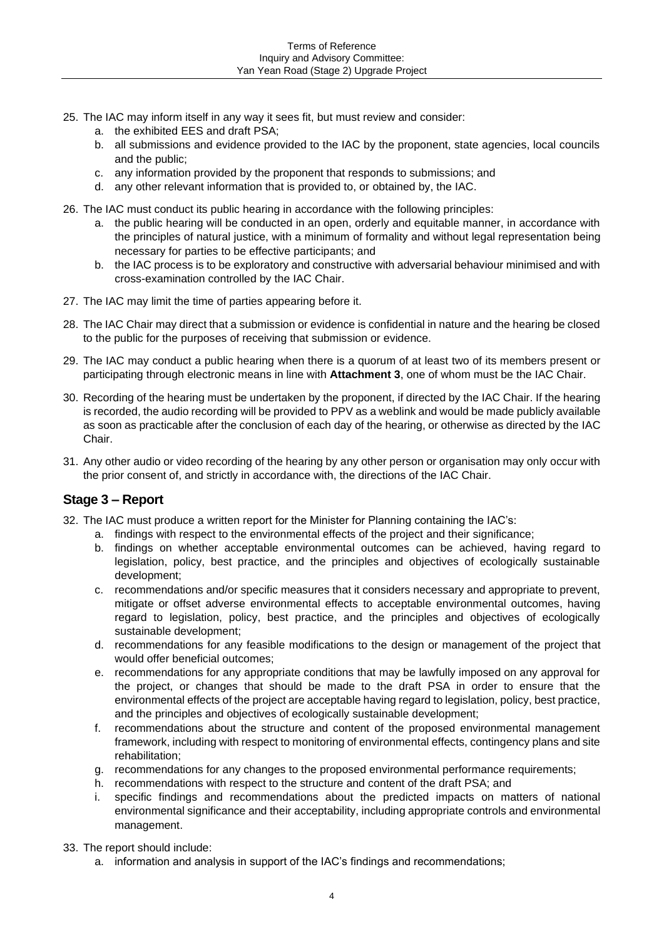- 25. The IAC may inform itself in any way it sees fit, but must review and consider:
	- a. the exhibited EES and draft PSA;
	- b. all submissions and evidence provided to the IAC by the proponent, state agencies, local councils and the public;
	- c. any information provided by the proponent that responds to submissions; and
	- d. any other relevant information that is provided to, or obtained by, the IAC.
- 26. The IAC must conduct its public hearing in accordance with the following principles:
	- a. the public hearing will be conducted in an open, orderly and equitable manner, in accordance with the principles of natural justice, with a minimum of formality and without legal representation being necessary for parties to be effective participants; and
	- b. the IAC process is to be exploratory and constructive with adversarial behaviour minimised and with cross-examination controlled by the IAC Chair.
- 27. The IAC may limit the time of parties appearing before it.
- 28. The IAC Chair may direct that a submission or evidence is confidential in nature and the hearing be closed to the public for the purposes of receiving that submission or evidence.
- 29. The IAC may conduct a public hearing when there is a quorum of at least two of its members present or participating through electronic means in line with **Attachment 3**, one of whom must be the IAC Chair.
- 30. Recording of the hearing must be undertaken by the proponent, if directed by the IAC Chair. If the hearing is recorded, the audio recording will be provided to PPV as a weblink and would be made publicly available as soon as practicable after the conclusion of each day of the hearing, or otherwise as directed by the IAC Chair.
- 31. Any other audio or video recording of the hearing by any other person or organisation may only occur with the prior consent of, and strictly in accordance with, the directions of the IAC Chair.

## **Stage 3 – Report**

- 32. The IAC must produce a written report for the Minister for Planning containing the IAC's:
	- a. findings with respect to the environmental effects of the project and their significance;
	- b. findings on whether acceptable environmental outcomes can be achieved, having regard to legislation, policy, best practice, and the principles and objectives of ecologically sustainable development;
	- c. recommendations and/or specific measures that it considers necessary and appropriate to prevent, mitigate or offset adverse environmental effects to acceptable environmental outcomes, having regard to legislation, policy, best practice, and the principles and objectives of ecologically sustainable development;
	- d. recommendations for any feasible modifications to the design or management of the project that would offer beneficial outcomes;
	- e. recommendations for any appropriate conditions that may be lawfully imposed on any approval for the project, or changes that should be made to the draft PSA in order to ensure that the environmental effects of the project are acceptable having regard to legislation, policy, best practice, and the principles and objectives of ecologically sustainable development;
	- f. recommendations about the structure and content of the proposed environmental management framework, including with respect to monitoring of environmental effects, contingency plans and site rehabilitation;
	- g. recommendations for any changes to the proposed environmental performance requirements;
	- h. recommendations with respect to the structure and content of the draft PSA; and
	- i. specific findings and recommendations about the predicted impacts on matters of national environmental significance and their acceptability, including appropriate controls and environmental management.
- 33. The report should include:
	- a. information and analysis in support of the IAC's findings and recommendations;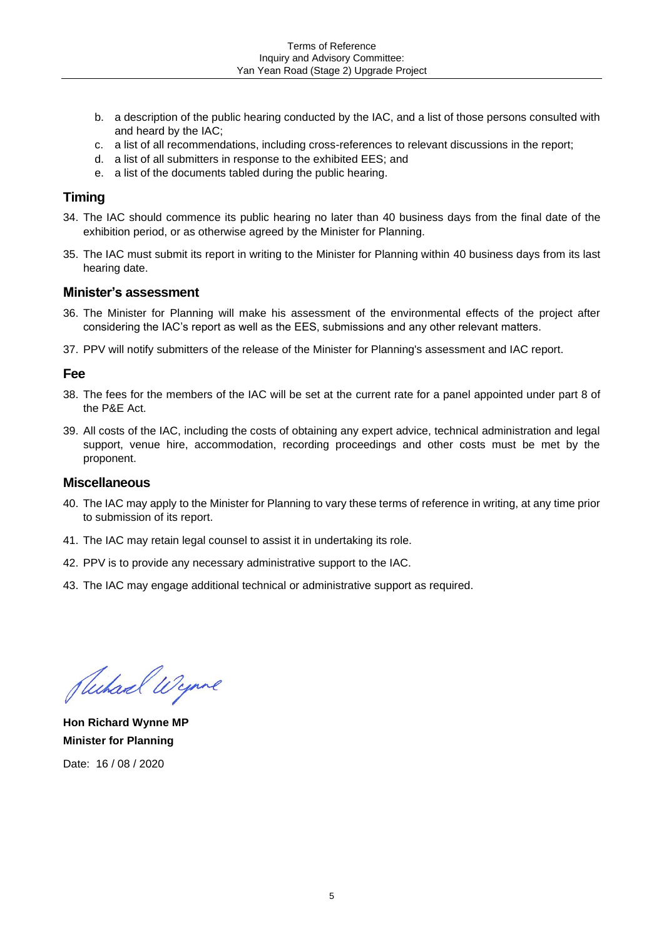- b. a description of the public hearing conducted by the IAC, and a list of those persons consulted with and heard by the IAC;
- c. a list of all recommendations, including cross-references to relevant discussions in the report;
- d. a list of all submitters in response to the exhibited EES; and
- e. a list of the documents tabled during the public hearing.

## **Timing**

- 34. The IAC should commence its public hearing no later than 40 business days from the final date of the exhibition period, or as otherwise agreed by the Minister for Planning.
- 35. The IAC must submit its report in writing to the Minister for Planning within 40 business days from its last hearing date.

#### **Minister's assessment**

- 36. The Minister for Planning will make his assessment of the environmental effects of the project after considering the IAC's report as well as the EES, submissions and any other relevant matters.
- 37. PPV will notify submitters of the release of the Minister for Planning's assessment and IAC report.

## **Fee**

- 38. The fees for the members of the IAC will be set at the current rate for a panel appointed under part 8 of the P&E Act.
- 39. All costs of the IAC, including the costs of obtaining any expert advice, technical administration and legal support, venue hire, accommodation, recording proceedings and other costs must be met by the proponent.

#### **Miscellaneous**

- 40. The IAC may apply to the Minister for Planning to vary these terms of reference in writing, at any time prior to submission of its report.
- 41. The IAC may retain legal counsel to assist it in undertaking its role.
- 42. PPV is to provide any necessary administrative support to the IAC.
- 43. The IAC may engage additional technical or administrative support as required.

Juchard Wynne

**Hon Richard Wynne MP Minister for Planning** Date: 16 / 08 / 2020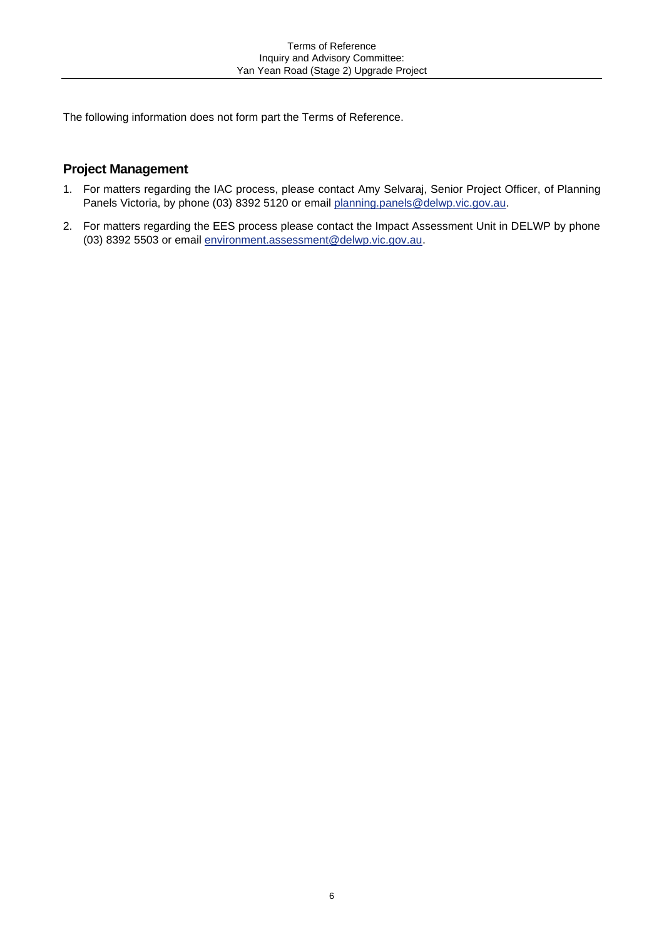The following information does not form part the Terms of Reference.

## **Project Management**

- 1. For matters regarding the IAC process, please contact Amy Selvaraj, Senior Project Officer, of Planning Panels Victoria, by phone (03) 8392 5120 or email planning panels@delwp.vic.gov.au.
- 2. For matters regarding the EES process please contact the Impact Assessment Unit in DELWP by phone (03) 8392 5503 or email [environment.assessment@delwp.vic.gov.au.](mailto:environment.assessment@delwp.vic.gov.au)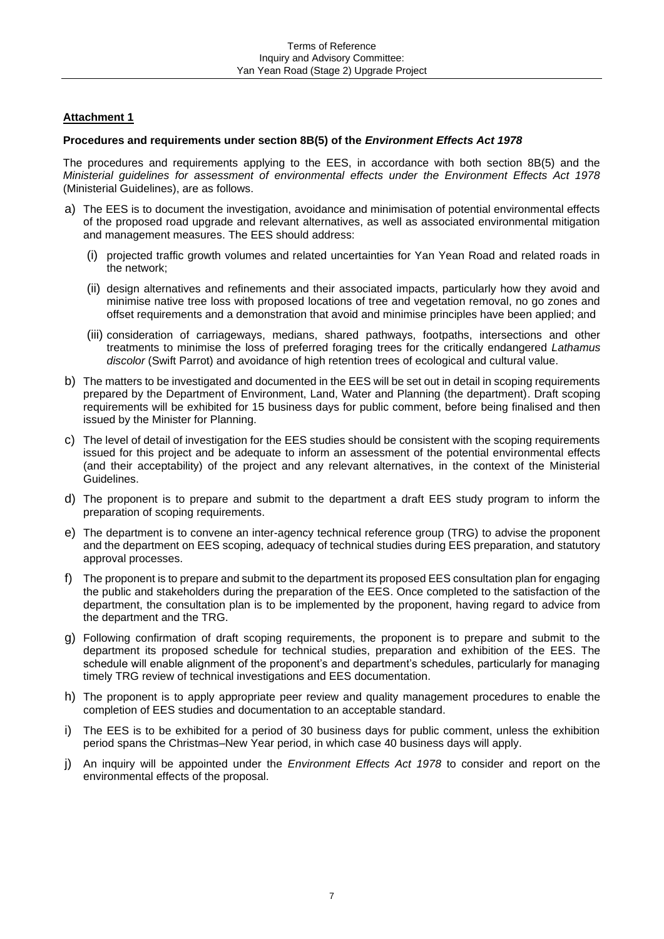#### **Attachment 1**

#### **Procedures and requirements under section 8B(5) of the** *Environment Effects Act 1978*

The procedures and requirements applying to the EES, in accordance with both section 8B(5) and the *Ministerial guidelines for assessment of environmental effects under the Environment Effects Act 1978* (Ministerial Guidelines), are as follows.

- a) The EES is to document the investigation, avoidance and minimisation of potential environmental effects of the proposed road upgrade and relevant alternatives, as well as associated environmental mitigation and management measures. The EES should address:
	- (i) projected traffic growth volumes and related uncertainties for Yan Yean Road and related roads in the network;
	- (ii) design alternatives and refinements and their associated impacts, particularly how they avoid and minimise native tree loss with proposed locations of tree and vegetation removal, no go zones and offset requirements and a demonstration that avoid and minimise principles have been applied; and
	- (iii) consideration of carriageways, medians, shared pathways, footpaths, intersections and other treatments to minimise the loss of preferred foraging trees for the critically endangered *Lathamus discolor* (Swift Parrot) and avoidance of high retention trees of ecological and cultural value.
- b) The matters to be investigated and documented in the EES will be set out in detail in scoping requirements prepared by the Department of Environment, Land, Water and Planning (the department). Draft scoping requirements will be exhibited for 15 business days for public comment, before being finalised and then issued by the Minister for Planning.
- c) The level of detail of investigation for the EES studies should be consistent with the scoping requirements issued for this project and be adequate to inform an assessment of the potential environmental effects (and their acceptability) of the project and any relevant alternatives, in the context of the Ministerial Guidelines.
- d) The proponent is to prepare and submit to the department a draft EES study program to inform the preparation of scoping requirements.
- e) The department is to convene an inter-agency technical reference group (TRG) to advise the proponent and the department on EES scoping, adequacy of technical studies during EES preparation, and statutory approval processes.
- f) The proponent is to prepare and submit to the department its proposed EES consultation plan for engaging the public and stakeholders during the preparation of the EES. Once completed to the satisfaction of the department, the consultation plan is to be implemented by the proponent, having regard to advice from the department and the TRG.
- g) Following confirmation of draft scoping requirements, the proponent is to prepare and submit to the department its proposed schedule for technical studies, preparation and exhibition of the EES. The schedule will enable alignment of the proponent's and department's schedules, particularly for managing timely TRG review of technical investigations and EES documentation.
- h) The proponent is to apply appropriate peer review and quality management procedures to enable the completion of EES studies and documentation to an acceptable standard.
- i) The EES is to be exhibited for a period of 30 business days for public comment, unless the exhibition period spans the Christmas–New Year period, in which case 40 business days will apply.
- j) An inquiry will be appointed under the *Environment Effects Act 1978* to consider and report on the environmental effects of the proposal.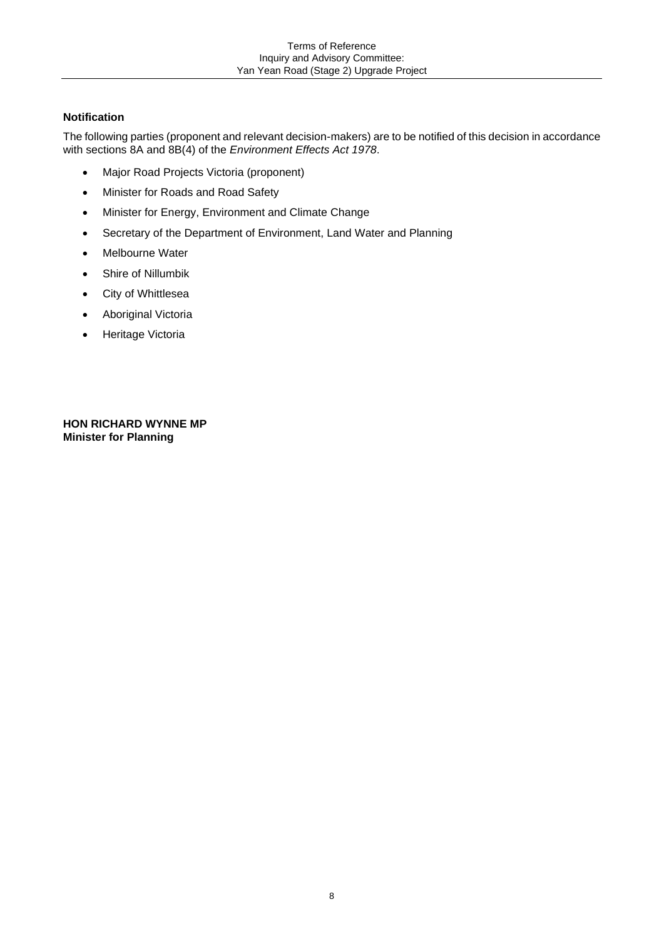## **Notification**

The following parties (proponent and relevant decision-makers) are to be notified of this decision in accordance with sections 8A and 8B(4) of the *Environment Effects Act 1978*.

- Major Road Projects Victoria (proponent)
- Minister for Roads and Road Safety
- Minister for Energy, Environment and Climate Change
- Secretary of the Department of Environment, Land Water and Planning
- Melbourne Water
- Shire of Nillumbik
- City of Whittlesea
- Aboriginal Victoria
- Heritage Victoria

**HON RICHARD WYNNE MP Minister for Planning**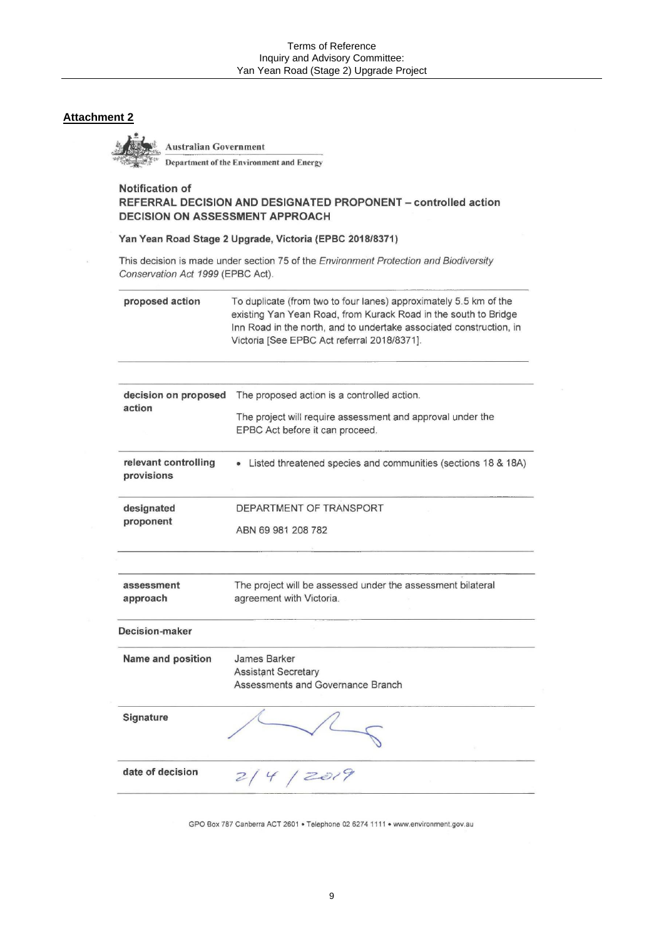## **Attachment 2**

**Australian Government** 

Department of the Environment and Energy

#### **Notification of** REFERRAL DECISION AND DESIGNATED PROPONENT - controlled action **DECISION ON ASSESSMENT APPROACH**

#### Yan Yean Road Stage 2 Upgrade, Victoria (EPBC 2018/8371)

This decision is made under section 75 of the Environment Protection and Biodiversity Conservation Act 1999 (EPBC Act).

| proposed action                    | To duplicate (from two to four lanes) approximately 5.5 km of the<br>existing Yan Yean Road, from Kurack Road in the south to Bridge<br>Inn Road in the north, and to undertake associated construction, in<br>Victoria [See EPBC Act referral 2018/8371]. |
|------------------------------------|------------------------------------------------------------------------------------------------------------------------------------------------------------------------------------------------------------------------------------------------------------|
| decision on proposed<br>action     | The proposed action is a controlled action.                                                                                                                                                                                                                |
|                                    | The project will require assessment and approval under the<br>EPBC Act before it can proceed.                                                                                                                                                              |
| relevant controlling<br>provisions | Listed threatened species and communities (sections 18 & 18A)                                                                                                                                                                                              |
| designated<br>proponent            | DEPARTMENT OF TRANSPORT                                                                                                                                                                                                                                    |
|                                    | ABN 69 981 208 782                                                                                                                                                                                                                                         |
| assessment<br>approach             | The project will be assessed under the assessment bilateral<br>agreement with Victoria.                                                                                                                                                                    |
| Decision-maker                     |                                                                                                                                                                                                                                                            |
| Name and position                  | James Barker                                                                                                                                                                                                                                               |
|                                    | <b>Assistant Secretary</b><br>Assessments and Governance Branch                                                                                                                                                                                            |
| Signature                          |                                                                                                                                                                                                                                                            |
| date of decision                   | 244/2019                                                                                                                                                                                                                                                   |

GPO Box 787 Canberra ACT 2601 . Telephone 02 6274 1111 . www.environment.gov.au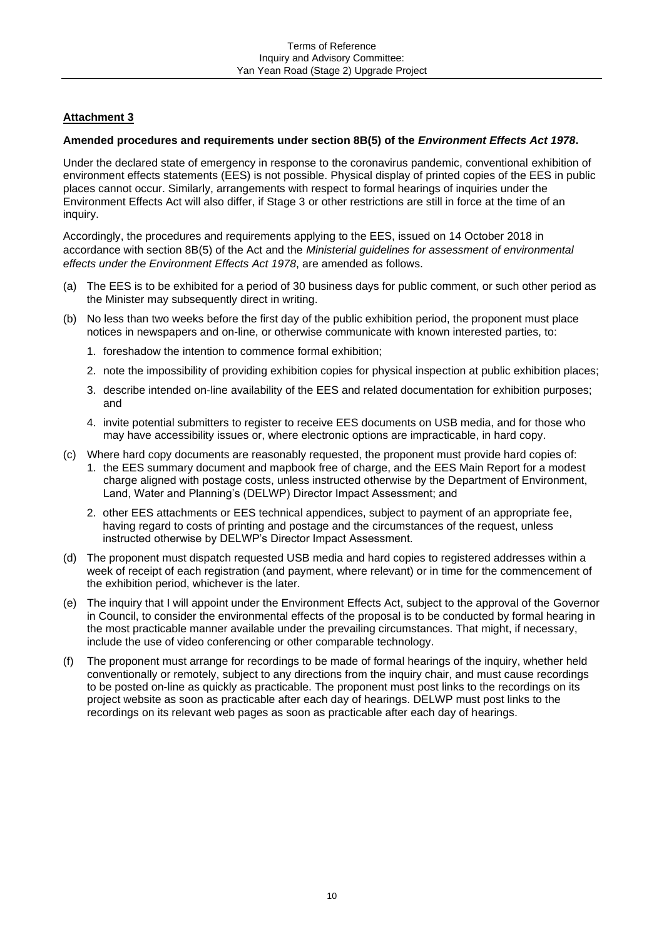## **Attachment 3**

#### **Amended procedures and requirements under section 8B(5) of the** *Environment Effects Act 1978***.**

Under the declared state of emergency in response to the coronavirus pandemic, conventional exhibition of environment effects statements (EES) is not possible. Physical display of printed copies of the EES in public places cannot occur. Similarly, arrangements with respect to formal hearings of inquiries under the Environment Effects Act will also differ, if Stage 3 or other restrictions are still in force at the time of an inquiry.

Accordingly, the procedures and requirements applying to the EES, issued on 14 October 2018 in accordance with section 8B(5) of the Act and the *Ministerial guidelines for assessment of environmental effects under the Environment Effects Act 1978*, are amended as follows.

- (a) The EES is to be exhibited for a period of 30 business days for public comment, or such other period as the Minister may subsequently direct in writing.
- (b) No less than two weeks before the first day of the public exhibition period, the proponent must place notices in newspapers and on-line, or otherwise communicate with known interested parties, to:
	- 1. foreshadow the intention to commence formal exhibition;
	- 2. note the impossibility of providing exhibition copies for physical inspection at public exhibition places;
	- 3. describe intended on-line availability of the EES and related documentation for exhibition purposes; and
	- 4. invite potential submitters to register to receive EES documents on USB media, and for those who may have accessibility issues or, where electronic options are impracticable, in hard copy.
- (c) Where hard copy documents are reasonably requested, the proponent must provide hard copies of:
	- 1. the EES summary document and mapbook free of charge, and the EES Main Report for a modest charge aligned with postage costs, unless instructed otherwise by the Department of Environment, Land, Water and Planning's (DELWP) Director Impact Assessment; and
	- 2. other EES attachments or EES technical appendices, subject to payment of an appropriate fee, having regard to costs of printing and postage and the circumstances of the request, unless instructed otherwise by DELWP's Director Impact Assessment.
- (d) The proponent must dispatch requested USB media and hard copies to registered addresses within a week of receipt of each registration (and payment, where relevant) or in time for the commencement of the exhibition period, whichever is the later.
- (e) The inquiry that I will appoint under the Environment Effects Act, subject to the approval of the Governor in Council, to consider the environmental effects of the proposal is to be conducted by formal hearing in the most practicable manner available under the prevailing circumstances. That might, if necessary, include the use of video conferencing or other comparable technology.
- (f) The proponent must arrange for recordings to be made of formal hearings of the inquiry, whether held conventionally or remotely, subject to any directions from the inquiry chair, and must cause recordings to be posted on-line as quickly as practicable. The proponent must post links to the recordings on its project website as soon as practicable after each day of hearings. DELWP must post links to the recordings on its relevant web pages as soon as practicable after each day of hearings.